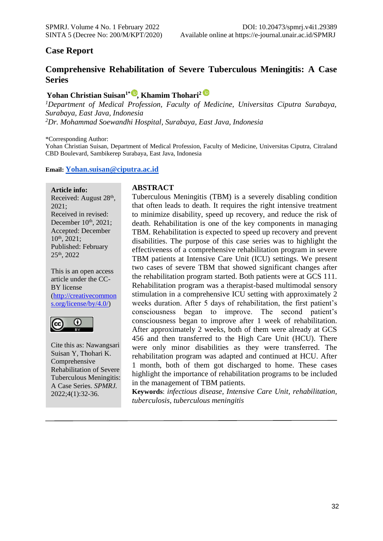# **Case Report**

# **Comprehensive Rehabilitation of Severe Tuberculous Meningitis: A Case Series**

# **Yohan Christian Suisan1\*, Khamim Thohari<sup>2</sup>**

*<sup>1</sup>Department of Medical Profession, Faculty of Medicine, Universitas Ciputra Surabaya, Surabaya, East Java, Indonesia <sup>2</sup>Dr. Mohammad Soewandhi Hospital, Surabaya, East Java, Indonesia*

\*Corresponding Author:

Yohan Christian Suisan, Department of Medical Profession, Faculty of Medicine, Universitas Ciputra, Citraland CBD Boulevard, Sambikerep Surabaya, East Java, Indonesia

#### **Email: [Yohan.suisan@ciputra.ac.id](mailto:Yohan.suisan@ciputra.ac.id)**

**Article info:**

Received: August 28<sup>th</sup>, 2021; Received in revised: December 10<sup>th</sup>, 2021; Accepted: December 10th, 2021; Published: February 25th, 2022

This is an open access article under the CC-BY license [\(http://creativecommon](http://creativecommons.org/license/by/4.0/) [s.org/license/by/4.0/\)](http://creativecommons.org/license/by/4.0/)



Cite this as: Nawangsari Suisan Y, Thohari K. Comprehensive Rehabilitation of Severe Tuberculous Meningitis: A Case Series. *SPMRJ.* 2022;4(1):32-36.

#### **ABSTRACT**

Tuberculous Meningitis (TBM) is a severely disabling condition that often leads to death. It requires the right intensive treatment to minimize disability, speed up recovery, and reduce the risk of death. Rehabilitation is one of the key components in managing TBM. Rehabilitation is expected to speed up recovery and prevent disabilities. The purpose of this case series was to highlight the effectiveness of a comprehensive rehabilitation program in severe TBM patients at Intensive Care Unit (ICU) settings. We present two cases of severe TBM that showed significant changes after the rehabilitation program started. Both patients were at GCS 111. Rehabilitation program was a therapist-based multimodal sensory stimulation in a comprehensive ICU setting with approximately 2 weeks duration. After 5 days of rehabilitation, the first patient's consciousness began to improve. The second patient's consciousness began to improve after 1 week of rehabilitation. After approximately 2 weeks, both of them were already at GCS 456 and then transferred to the High Care Unit (HCU). There were only minor disabilities as they were transferred. The rehabilitation program was adapted and continued at HCU. After 1 month, both of them got discharged to home. These cases highlight the importance of rehabilitation programs to be included in the management of TBM patients.

**Keywords**: *infectious disease, Intensive Care Unit, rehabilitation, tuberculosis, tuberculous meningitis*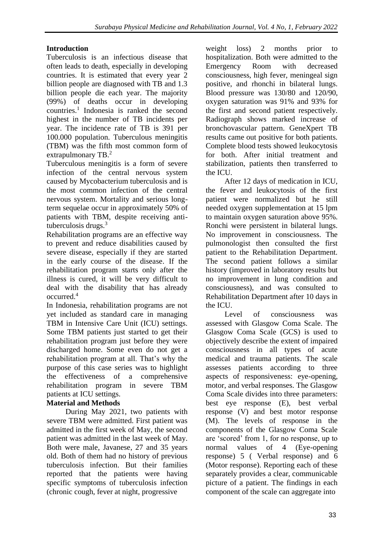# **Introduction**

Tuberculosis is an infectious disease that often leads to death, especially in developing countries. It is estimated that every year 2 billion people are diagnosed with TB and 1.3 billion people die each year. The majority (99%) of deaths occur in developing countries.<sup>1</sup> Indonesia is ranked the second highest in the number of TB incidents per year. The incidence rate of TB is 391 per 100.000 population. Tuberculous meningitis (TBM) was the fifth most common form of extrapulmonary TB.<sup>2</sup>

Tuberculous meningitis is a form of severe infection of the central nervous system caused by Mycobacterium tuberculosis and is the most common infection of the central nervous system. Mortality and serious longterm sequelae occur in approximately 50% of patients with TBM, despite receiving antituberculosis drugs.<sup>3</sup>

Rehabilitation programs are an effective way to prevent and reduce disabilities caused by severe disease, especially if they are started in the early course of the disease. If the rehabilitation program starts only after the illness is cured, it will be very difficult to deal with the disability that has already occurred.<sup>4</sup>

In Indonesia, rehabilitation programs are not yet included as standard care in managing TBM in Intensive Care Unit (ICU) settings. Some TBM patients just started to get their rehabilitation program just before they were discharged home. Some even do not get a rehabilitation program at all. That's why the purpose of this case series was to highlight the effectiveness of a comprehensive rehabilitation program in severe TBM patients at ICU settings.

## **Material and Methods**

During May 2021, two patients with severe TBM were admitted. First patient was admitted in the first week of May, the second patient was admitted in the last week of May. Both were male, Javanese, 27 and 35 years old. Both of them had no history of previous tuberculosis infection. But their families reported that the patients were having specific symptoms of tuberculosis infection (chronic cough, fever at night, progressive

weight loss) 2 months prior to hospitalization. Both were admitted to the Emergency Room with decreased consciousness, high fever, meningeal sign positive, and rhonchi in bilateral lungs. Blood pressure was 130/80 and 120/90, oxygen saturation was 91% and 93% for the first and second patient respectively. Radiograph shows marked increase of bronchovascular pattern. GeneXpert TB results came out positive for both patients. Complete blood tests showed leukocytosis for both. After initial treatment and stabilization, patients then transferred to the ICU.

After 12 days of medication in ICU, the fever and leukocytosis of the first patient were normalized but he still needed oxygen supplementation at 15 lpm to maintain oxygen saturation above 95%. Ronchi were persistent in bilateral lungs. No improvement in consciousness. The pulmonologist then consulted the first patient to the Rehabilitation Department. The second patient follows a similar history (improved in laboratory results but no improvement in lung condition and consciousness), and was consulted to Rehabilitation Department after 10 days in the ICU.

Level of consciousness was assessed with Glasgow Coma Scale. The Glasgow Coma Scale (GCS) is used to objectively describe the extent of impaired consciousness in all types of acute medical and trauma patients. The scale assesses patients according to three aspects of responsiveness: eye-opening, motor, and verbal responses. The Glasgow Coma Scale divides into three parameters: best eye response (E), best verbal response (V) and best motor response (M). The levels of response in the components of the Glasgow Coma Scale are 'scored' from 1, for no response, up to normal values of 4 (Eye-opening response) 5 ( Verbal response) and 6 (Motor response). Reporting each of these separately provides a clear, communicable picture of a patient. The findings in each component of the scale can aggregate into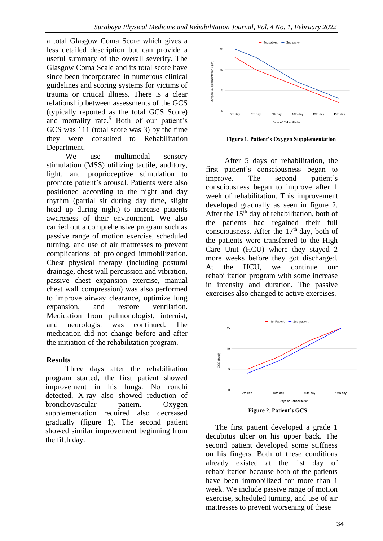a total Glasgow Coma Score which gives a less detailed description but can provide a useful summary of the overall severity. The Glasgow Coma Scale and its total score have since been incorporated in numerous clinical guidelines and scoring systems for victims of trauma or critical illness. There is a clear relationship between assessments of the GCS (typically reported as the total GCS Score) and mortality rate. <sup>5</sup> Both of our patient's GCS was 111 (total score was 3) by the time they were consulted to Rehabilitation Department.

We use multimodal sensory stimulation (MSS) utilizing tactile, auditory, light, and proprioceptive stimulation to promote patient's arousal. Patients were also positioned according to the night and day rhythm (partial sit during day time, slight head up during night) to increase patients awareness of their environment. We also carried out a comprehensive program such as passive range of motion exercise, scheduled turning, and use of air mattresses to prevent complications of prolonged immobilization. Chest physical therapy (including postural drainage, chest wall percussion and vibration, passive chest expansion exercise, manual chest wall compression) was also performed to improve airway clearance, optimize lung expansion, and restore ventilation. Medication from pulmonologist, internist, and neurologist was continued. The medication did not change before and after the initiation of the rehabilitation program.

## **Results**

Three days after the rehabilitation program started, the first patient showed improvement in his lungs. No ronchi detected, X-ray also showed reduction of bronchovascular pattern. Oxygen supplementation required also decreased gradually (figure 1). The second patient showed similar improvement beginning from the fifth day.



**Figure 1. Patient's Oxygen Supplementation**

After 5 days of rehabilitation, the first patient's consciousness began to improve. The second patient's consciousness began to improve after 1 week of rehabilitation. This improvement developed gradually as seen in figure 2. After the  $15<sup>th</sup>$  day of rehabilitation, both of the patients had regained their full consciousness. After the  $17<sup>th</sup>$  day, both of the patients were transferred to the High Care Unit (HCU) where they stayed 2 more weeks before they got discharged. At the HCU, we continue our rehabilitation program with some increase in intensity and duration. The passive exercises also changed to active exercises.



**Figure 2**. **Patient's GCS**

The first patient developed a grade 1 decubitus ulcer on his upper back. The second patient developed some stiffness on his fingers. Both of these conditions already existed at the 1st day of rehabilitation because both of the patients have been immobilized for more than 1 week. We include passive range of motion exercise, scheduled turning, and use of air mattresses to prevent worsening of these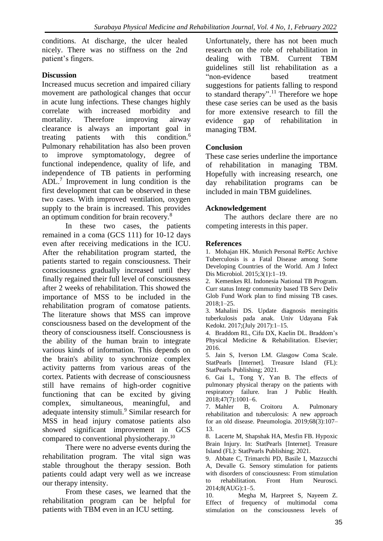conditions. At discharge, the ulcer healed nicely. There was no stiffness on the 2nd patient's fingers.

## **Discussion**

Increased mucus secretion and impaired ciliary movement are pathological changes that occur in acute lung infections. These changes highly correlate with increased morbidity and mortality. Therefore improving airway clearance is always an important goal in treating patients with this condition.<sup>6</sup> Pulmonary rehabilitation has also been proven to improve symptomatology, degree of functional independence, quality of life, and independence of TB patients in performing ADL.<sup>7</sup> Improvement in lung condition is the first development that can be observed in these two cases. With improved ventilation, oxygen supply to the brain is increased. This provides an optimum condition for brain recovery.<sup>8</sup>

In these two cases, the patients remained in a coma (GCS 111) for 10-12 days even after receiving medications in the ICU. After the rehabilitation program started, the patients started to regain consciousness. Their consciousness gradually increased until they finally regained their full level of consciousness after 2 weeks of rehabilitation. This showed the importance of MSS to be included in the rehabilitation program of comatose patients. The literature shows that MSS can improve consciousness based on the development of the theory of consciousness itself. Consciousness is the ability of the human brain to integrate various kinds of information. This depends on the brain's ability to synchronize complex activity patterns from various areas of the cortex. Patients with decrease of consciousness still have remains of high-order cognitive functioning that can be excited by giving complex, simultaneous, meaningful, and adequate intensity stimuli.<sup>9</sup> Similar research for MSS in head injury comatose patients also showed significant improvement in GCS compared to conventional physiotherapy.<sup>10</sup>

There were no adverse events during the rehabilitation program. The vital sign was stable throughout the therapy session. Both patients could adapt very well as we increase our therapy intensity.

From these cases, we learned that the rehabilitation program can be helpful for patients with TBM even in an ICU setting.

Unfortunately, there has not been much research on the role of rehabilitation in dealing with TBM. Current TBM guidelines still list rehabilitation as a "non-evidence based treatment suggestions for patients falling to respond to standard therapy".<sup>11</sup> Therefore we hope these case series can be used as the basis for more extensive research to fill the evidence gap of rehabilitation in managing TBM.

## **Conclusion**

These case series underline the importance of rehabilitation in managing TBM. Hopefully with increasing research, one day rehabilitation programs can be included in main TBM guidelines.

#### **Acknowledgement**

The authors declare there are no competing interests in this paper.

#### **References**

1. Mohajan HK. Munich Personal RePEc Archive Tuberculosis is a Fatal Disease among Some Developing Countries of the World. Am J Infect Dis Microbiol. 2015;3(1):1–19.

2. Kemenkes RI. Indonesia National TB Program. Curr status Integr community based TB Serv Deliv Glob Fund Work plan to find missing TB cases. 2018;1–25.

3. Mahalini DS. Update diagnosis meningitis tuberkulosis pada anak. Univ Udayana Fak Kedokt. 2017;(July 2017):1–15.

4. Braddom RL, Cifu DX, Kaelin DL. Braddom's Physical Medicine & Rehabilitation. Elsevier; 2016.

5. Jain S, Iverson LM. Glasgow Coma Scale. StatPearls [Internet]. Treasure Island (FL): StatPearls Publishing; 2021.

6. Gai L, Tong Y, Yan B. The effects of pulmonary physical therapy on the patients with respiratory failure. Iran J Public Health. 2018;47(7):1001–6.

7. Mahler B, Croitoru A. Pulmonary rehabilitation and tuberculosis: A new approach for an old disease. Pneumologia. 2019;68(3):107– 13.

8. Lacerte M, Shapshak HA, Mesfin FB. Hypoxic Brain Injury. In: StatPearls [Internet]. Treasure Island (FL): StatPearls Publishing; 2021.

9. Abbate C, Trimarchi PD, Basile I, Mazzucchi A, Devalle G. Sensory stimulation for patients with disorders of consciousness: From stimulation to rehabilitation. Front Hum Neurosci. 2014;8(AUG):1–5.

10. Megha M, Harpreet S, Nayeem Z. Effect of frequency of multimodal coma stimulation on the consciousness levels of